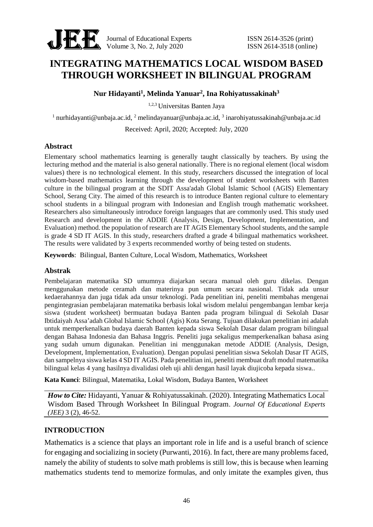

Journal of Educational Experts ISSN 2614-3526 (print)

# **INTEGRATING MATHEMATICS LOCAL WISDOM BASED THROUGH WORKSHEET IN BILINGUAL PROGRAM**

**Nur Hidayanti<sup>1</sup> , Melinda Yanuar<sup>2</sup> , Ina Rohiyatussakinah<sup>3</sup>**

1,2,3 Universitas Banten Jaya

<sup>1</sup> nurhidayanti@unbaja.ac.id, <sup>2</sup> melindayanuar@unbaja.ac.id, <sup>3</sup> inarohiyatussakinah@unbaja.ac.id

Received: April, 2020; Accepted: July, 2020

## **Abstract**

Elementary school mathematics learning is generally taught classically by teachers. By using the lecturing method and the material is also general nationally. There is no regional element (local wisdom values) there is no technological element. In this study, researchers discussed the integration of local wisdom-based mathematics learning through the development of student worksheets with Banten culture in the bilingual program at the SDIT Assa'adah Global Islamic School (AGIS) Elementary School, Serang City. The aimed of this research is to introduce Banten regional culture to elementary school students in a bilingual program with Indonesian and English trough mathematic worksheet. Researchers also simultaneously introduce foreign languages that are commonly used. This study used Research and development in the ADDIE (Analysis, Design, Development, Implementation, and Evaluation) method. the population of research are IT AGIS Elementary School students, and the sample is grade 4 SD IT AGIS. In this study, researchers drafted a grade 4 bilingual mathematics worksheet. The results were validated by 3 experts recommended worthy of being tested on students.

**Keywords**: Bilingual, Banten Culture, Local Wisdom, Mathematics, Worksheet

## **Abstrak**

Pembelajaran matematika SD umumnya diajarkan secara manual oleh guru dikelas. Dengan menggunakan metode ceramah dan materinya pun umum secara nasional. Tidak ada unsur kedaerahannya dan juga tidak ada unsur teknologi. Pada penelitian ini, peneliti membahas mengenai pengintegrasian pembelajaran matematika berbasis lokal wisdom melalui pengembangan lembar kerja siswa (student worksheet) bermuatan budaya Banten pada program bilingual di Sekolah Dasar Ibtidaiyah Assa'adah Global Islamic School (Agis) Kota Serang. Tujuan dilakukan penelitian ini adalah untuk memperkenalkan budaya daerah Banten kepada siswa Sekolah Dasar dalam program bilingual dengan Bahasa Indonesia dan Bahasa Inggris. Peneliti juga sekaligus memperkenalkan bahasa asing yang sudah umum digunakan. Penelitian ini menggunakan metode ADDIE (Analysis, Design, Development, Implementation, Evaluation). Dengan populasi penelitian siswa Sekolah Dasar IT AGIS, dan sampelnya siswa kelas 4 SD IT AGIS. Pada penelitian ini, peneliti membuat draft modul matematika bilingual kelas 4 yang hasilnya divalidasi oleh uji ahli dengan hasil layak diujicoba kepada siswa..

**Kata Kunci**: Bilingual, Matematika, Lokal Wisdom, Budaya Banten, Worksheet

*How to Cite:* Hidayanti, Yanuar & Rohiyatussakinah. (2020). Integrating Mathematics Local Wisdom Based Through Worksheet In Bilingual Program. *Journal Of Educational Experts (JEE)* 3 (2), 46-52.

## **INTRODUCTION**

Mathematics is a science that plays an important role in life and is a useful branch of science for engaging and socializing in society (Purwanti, 2016). In fact, there are many problems faced, namely the ability of students to solve math problems is still low, this is because when learning mathematics students tend to memorize formulas, and only imitate the examples given, thus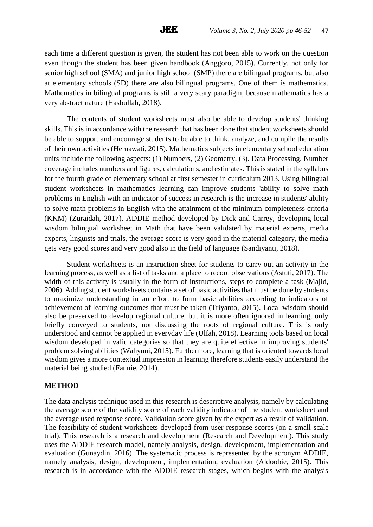each time a different question is given, the student has not been able to work on the question even though the student has been given handbook (Anggoro, 2015). Currently, not only for senior high school (SMA) and junior high school (SMP) there are bilingual programs, but also at elementary schools (SD) there are also bilingual programs. One of them is mathematics. Mathematics in bilingual programs is still a very scary paradigm, because mathematics has a very abstract nature (Hasbullah, 2018).

The contents of student worksheets must also be able to develop students' thinking skills. This is in accordance with the research that has been done that student worksheets should be able to support and encourage students to be able to think, analyze, and compile the results of their own activities (Hernawati, 2015). Mathematics subjects in elementary school education units include the following aspects: (1) Numbers, (2) Geometry, (3). Data Processing. Number coverage includes numbers and figures, calculations, and estimates. This is stated in the syllabus for the fourth grade of elementary school at first semester in curriculum 2013. Using bilingual student worksheets in mathematics learning can improve students 'ability to solve math problems in English with an indicator of success in research is the increase in students' ability to solve math problems in English with the attainment of the minimum completeness criteria (KKM) (Zuraidah, 2017). ADDIE method developed by Dick and Carrey, developing local wisdom bilingual worksheet in Math that have been validated by material experts, media experts, linguists and trials, the average score is very good in the material category, the media gets very good scores and very good also in the field of language (Sandiyanti, 2018).

Student worksheets is an instruction sheet for students to carry out an activity in the learning process, as well as a list of tasks and a place to record observations (Astuti, 2017). The width of this activity is usually in the form of instructions, steps to complete a task (Majid, 2006). Adding student worksheets contains a set of basic activities that must be done by students to maximize understanding in an effort to form basic abilities according to indicators of achievement of learning outcomes that must be taken (Triyanto, 2015). Local wisdom should also be preserved to develop regional culture, but it is more often ignored in learning, only briefly conveyed to students, not discussing the roots of regional culture. This is only understood and cannot be applied in everyday life (Ulfah, 2018). Learning tools based on local wisdom developed in valid categories so that they are quite effective in improving students' problem solving abilities (Wahyuni, 2015). Furthermore, learning that is oriented towards local wisdom gives a more contextual impression in learning therefore students easily understand the material being studied (Fannie, 2014).

#### **METHOD**

The data analysis technique used in this research is descriptive analysis, namely by calculating the average score of the validity score of each validity indicator of the student worksheet and the average used response score. Validation score given by the expert as a result of validation. The feasibility of student worksheets developed from user response scores (on a small-scale trial). This research is a research and development (Research and Development). This study uses the ADDIE research model, namely analysis, design, development, implementation and evaluation (Gunaydin, 2016). The systematic process is represented by the acronym ADDIE, namely analysis, design, development, implementation, evaluation (Aldoobie, 2015). This research is in accordance with the ADDIE research stages, which begins with the analysis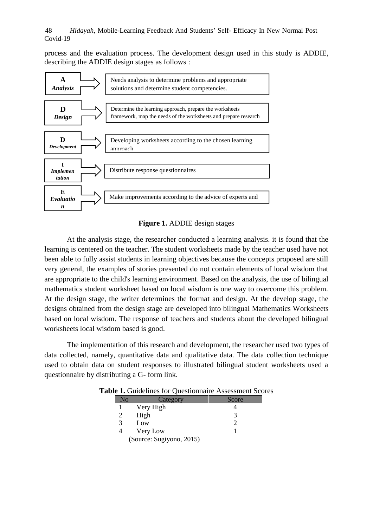process and the evaluation process. The development design used in this study is ADDIE, describing the ADDIE design stages as follows :



# **Figure 1.** ADDIE design stages

At the analysis stage, the researcher conducted a learning analysis. it is found that the learning is centered on the teacher. The student worksheets made by the teacher used have not been able to fully assist students in learning objectives because the concepts proposed are still very general, the examples of stories presented do not contain elements of local wisdom that are appropriate to the child's learning environment. Based on the analysis, the use of bilingual mathematics student worksheet based on local wisdom is one way to overcome this problem. At the design stage, the writer determines the format and design. At the develop stage, the designs obtained from the design stage are developed into bilingual Mathematics Worksheets based on local wisdom. The response of teachers and students about the developed bilingual worksheets local wisdom based is good.

The implementation of this research and development, the researcher used two types of data collected, namely, quantitative data and qualitative data. The data collection technique used to obtain data on student responses to illustrated bilingual student worksheets used a questionnaire by distributing a G- form link.

| No | Category                          | Score |
|----|-----------------------------------|-------|
|    | Very High                         |       |
|    | High                              |       |
|    | Low                               |       |
|    | Very Low                          |       |
|    | $(0, \ldots, 0, 0, \ldots, 0, 0)$ |       |

**Table 1.** Guidelines for Questionnaire Assessment Scores

(Source: Sugiyono, 2015)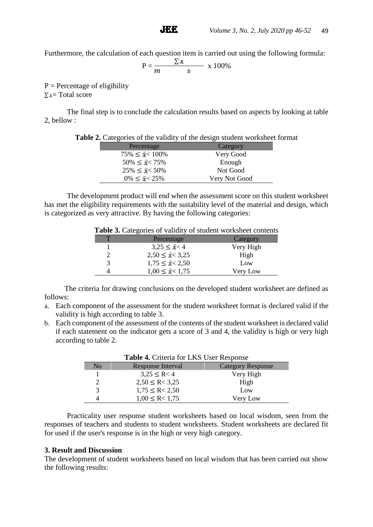Furthermore, the calculation of each question item is carried out using the following formula:

$$
P = \frac{\sum x}{m} \times 100\%
$$

 $P =$  Percentage of eligibility  $\Sigma$   $x$  = Total score

The final step is to conclude the calculation results based on aspects by looking at table 2, bellow :

|  | <b>Table 2.</b> Categories of the validity of the design student worksheet format |  |
|--|-----------------------------------------------------------------------------------|--|
|  |                                                                                   |  |

| Percentage                 | Category      |
|----------------------------|---------------|
| $75\% \leq \bar{x}$ < 100% | Very Good     |
| $50\% \leq \bar{x}$ < 75%  | Enough        |
| $25\% \leq x \leq 50\%$    | Not Good      |
| $0\% \leq \bar{x} < 25\%$  | Very Not Good |

The development product will end when the assessment score on this student worksheet has met the eligibility requirements with the suitability level of the material and design, which is categorized as very attractive. By having the following categories:

| <b>Lable 5.</b> Categories of validity of student worksheet contents |           |  |
|----------------------------------------------------------------------|-----------|--|
| Percentage                                                           | Category  |  |
| $3,25 \leq \bar{x} < 4$                                              | Very High |  |
| $2,50 \leq \bar{x} < 3,25$                                           | High      |  |
| $1,75 \leq \bar{x} < 2,50$                                           | Low       |  |
| $1,00 \leq \bar{x} < 1,75$                                           | Very Low  |  |
|                                                                      |           |  |

**Table 3.** Categories of validity of student worksheet contents

The criteria for drawing conclusions on the developed student worksheet are defined as follows:

- a. Each component of the assessment for the student worksheet format is declared valid if the validity is high according to table 3.
- b. Each component of the assessment of the contents of the student worksheet is declared valid if each statement on the indicator gets a score of 3 and 4, the validity is high or very high according to table 2.

|    | Table 4. Criteria for LKS User Response |                          |
|----|-----------------------------------------|--------------------------|
| No | <b>Response Interval</b>                | <b>Category Response</b> |
|    | $3,25 \le R < 4$                        | Very High                |
|    | $2,50 \leq R < 3,25$                    | High                     |
| 3  | $1,75 \leq R < 2,50$                    | Low                      |
|    | $1,00 \leq R < 1,75$                    | Very Low                 |

Practicality user response student worksheets based on local wisdom, seen from the responses of teachers and students to student worksheets. Student worksheets are declared fit for used if the user's response is in the high or very high category.

#### **3. Result and Discussion**

The development of student worksheets based on local wisdom that has been carried out show the following results: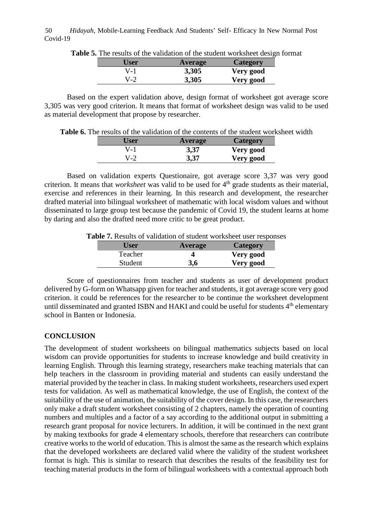*Hidayah*, Mobile-Learning Feedback And Students' Self- Efficacy In New Normal Post Covid-19 50

|       | $\epsilon$ 5. The results of the validation of the student worksheet design form |           |  |
|-------|----------------------------------------------------------------------------------|-----------|--|
| User  | Average                                                                          | Category  |  |
| V-1   | 3,305                                                                            | Very good |  |
| $V-2$ | 3,305                                                                            | Very good |  |

**Table 5.** The results of the validation of the student worksheet design format

Based on the expert validation above, design format of worksheet got average score 3,305 was very good criterion. It means that format of worksheet design was valid to be used as material development that propose by researcher.

**Table 6.** The results of the validation of the contents of the student worksheet width

| User | <b>Average</b> | <b>Category</b> |
|------|----------------|-----------------|
| V-I  | 3,37           | Very good       |
| V-2  | 3,37           | Very good       |

Based on validation experts Questionaire, got average score 3,37 was very good criterion. It means that *worksheet* was valid to be used for 4<sup>th</sup> grade students as their material, exercise and references in their learning. In this research and development, the researcher drafted material into bilingual worksheet of mathematic with local wisdom values and without disseminated to large group test because the pandemic of Covid 19, the student learns at home by daring and also the drafted need more critic to be great product.

**Table 7.** Results of validation of student worksheet user responses

| Jser    | <b>Average</b> | <b>Category</b> |
|---------|----------------|-----------------|
| Teacher |                | Very good       |
| Student | 3,6            | Very good       |

Score of questionnaires from teacher and students as user of development product delivered by G-form on Whatsapp given for teacher and students, it got average score very good criterion. it could be references for the researcher to be continue the worksheet development until disseminated and granted ISBN and HAKI and could be useful for students 4<sup>th</sup> elementary school in Banten or Indonesia.

# **CONCLUSION**

The development of student worksheets on bilingual mathematics subjects based on local wisdom can provide opportunities for students to increase knowledge and build creativity in learning English. Through this learning strategy, researchers make teaching materials that can help teachers in the classroom in providing material and students can easily understand the material provided by the teacher in class. In making student worksheets, researchers used expert tests for validation. As well as mathematical knowledge, the use of English, the context of the suitability of the use of animation, the suitability of the cover design. In this case, the researchers only make a draft student worksheet consisting of 2 chapters, namely the operation of counting numbers and multiples and a factor of a say according to the additional output in submitting a research grant proposal for novice lecturers. In addition, it will be continued in the next grant by making textbooks for grade 4 elementary schools, therefore that researchers can contribute creative works to the world of education. This is almost the same as the research which explains that the developed worksheets are declared valid where the validity of the student worksheet format is high. This is similar to research that describes the results of the feasibility test for teaching material products in the form of bilingual worksheets with a contextual approach both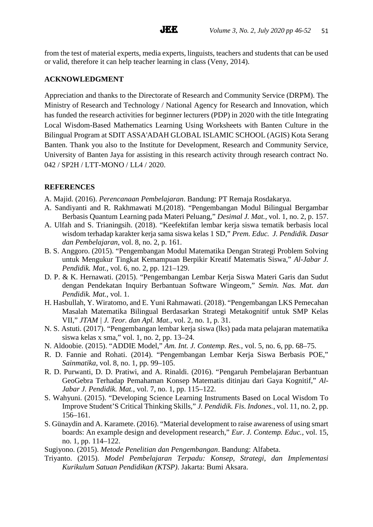from the test of material experts, media experts, linguists, teachers and students that can be used or valid, therefore it can help teacher learning in class (Veny, 2014).

# **ACKNOWLEDGMENT**

Appreciation and thanks to the Directorate of Research and Community Service (DRPM). The Ministry of Research and Technology / National Agency for Research and Innovation, which has funded the research activities for beginner lecturers (PDP) in 2020 with the title Integrating Local Wisdom-Based Mathematics Learning Using Worksheets with Banten Culture in the Bilingual Program at SDIT ASSA'ADAH GLOBAL ISLAMIC SCHOOL (AGIS) Kota Serang Banten. Thank you also to the Institute for Development, Research and Community Service, University of Banten Jaya for assisting in this research activity through research contract No. 042 / SP2H / LTT-MONO / LL4 / 2020.

# **REFERENCES**

- A. Majid. (2016). *Perencanaan Pembelajaran*. Bandung: PT Remaja Rosdakarya.
- A. Sandiyanti and R. Rakhmawati M.(2018). "Pengembangan Modul Bilingual Bergambar Berbasis Quantum Learning pada Materi Peluang," *Desimal J. Mat.*, vol. 1, no. 2, p. 157.
- A. Ulfah and S. Trianingsih. (2018). "Keefektifan lembar kerja siswa tematik berbasis local wisdom terhadap karakter kerja sama siswa kelas 1 SD," *Prem. Educ. J. Pendidik. Dasar dan Pembelajaran*, vol. 8, no. 2, p. 161.
- B. S. Anggoro. (2015). "Pengembangan Modul Matematika Dengan Strategi Problem Solving untuk Mengukur Tingkat Kemampuan Berpikir Kreatif Matematis Siswa," *Al-Jabar J. Pendidik. Mat.*, vol. 6, no. 2, pp. 121–129.
- D. P. & K. Hernawati. (2015). "Pengembangan Lembar Kerja Siswa Materi Garis dan Sudut dengan Pendekatan Inquiry Berbantuan Software Wingeom," *Semin. Nas. Mat. dan Pendidik. Mat.*, vol. 1.
- H. Hasbullah, Y. Wiratomo, and E. Yuni Rahmawati. (2018). "Pengembangan LKS Pemecahan Masalah Matematika Bilingual Berdasarkan Strategi Metakognitif untuk SMP Kelas VII," *JTAM | J. Teor. dan Apl. Mat.*, vol. 2, no. 1, p. 31.
- N. S. Astuti. (2017). "Pengembangan lembar kerja siswa (lks) pada mata pelajaran matematika siswa kelas x sma," vol. 1, no. 2, pp. 13–24.
- N. Aldoobie. (2015). "ADDIE Model," *Am. Int. J. Contemp. Res.*, vol. 5, no. 6, pp. 68–75.
- R. D. Fannie and Rohati. (2014). "Pengembangan Lembar Kerja Siswa Berbasis POE," *Sainmatika*, vol. 8, no. 1, pp. 99–105.
- R. D. Purwanti, D. D. Pratiwi, and A. Rinaldi. (2016). "Pengaruh Pembelajaran Berbantuan GeoGebra Terhadap Pemahaman Konsep Matematis ditinjau dari Gaya Kognitif," *Al- Jabar J. Pendidik. Mat.*, vol. 7, no. 1, pp. 115–122.
- S. Wahyuni. (2015). "Developing Science Learning Instruments Based on Local Wisdom To Improve Student'S Critical Thinking Skills," *J. Pendidik. Fis. Indones.*, vol. 11, no. 2, pp. 156–161.
- S. Günaydin and A. Karamete. (2016). "Material development to raise awareness of using smart boards: An example design and development research," *Eur. J. Contemp. Educ.*, vol. 15, no. 1, pp. 114–122.
- Sugiyono. (2015). *Metode Penelitian dan Pengembangan*. Bandung: Alfabeta.
- Triyanto. (2015). *Model Pembelajaran Terpadu: Konsep, Strategi, dan Implementasi Kurikulum Satuan Pendidikan (KTSP)*. Jakarta: Bumi Aksara.